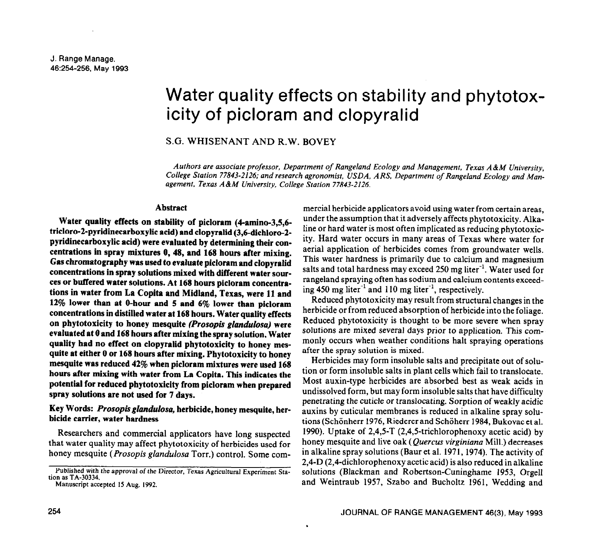# Water quality effects on stability and phytotoxicity of picloram and clopyralid

# S.G. WHISENANT AND R.W. BOVEY

*Authors are associate professor, Department of Rangeland Ecology and Management, Texas A&M University, College Station 77843-2126; and research agronomist, USDA, ARS, Department of Rangeland Ecology and Management, Texas A&M University, College Station 77843-2126.* 

#### **Abstract**

**Water quality effects on stability of picloram (4amino-3,5,6 tricloro-2-pyridinecarboxylic acid) and clopyralid (3,6-dichloro-2 pyridinecarboxylic acid) were evaluated by determining their concentrations in spray mixtures 0, 48, and 168 hours after mixing. Gas chromatography was used to evaluate picloram and clopyralid concentrations in spray solutions mixed with different water sources or buffered water solutions. At 168 hours picloram concentrations in water from La Copita and Midland, Texas, were 11 and 12% lower than at O-hour and 5 and 6% lower than picloram concentrations in distilled water at 168 hours. Water quality effects on phytotoxicity to honey mesquite** *(Prosopis glandulosa)* **were evaluated at 0 and 168 hours after mixing the spray solution. Water quality had no effect on clopyralid phytotoxicity to honey mesquite at either 0 or 168 hours after mixing. Phytotoxicity to honey mesquite was reduced 42% when picloram mixtures were used 168 hours after mixing with water from La Copita. This indicates the potential for reduced phytotoxicity from picloram when prepared spray solutions are not used for 7 days.** 

# **Key Words:** *Prosopis glandulosa,* **herbicide, honey mesquite, herbicide carrier, water hardness**

Researchers and commercial applicators have long suspected that water quality may affect phytotoxicity of herbicides used for honey mesquite *(Prosopis glundulosa* Torr.) control. Some com-

mercial herbicide applicators avoid using water from certain areas, under the assumption that it adversely affects phytotoxicity. Alkaline or hard water is most often implicated as reducing phytotoxicity. Hard water occurs in many areas of Texas where water for aerial application of herbicides comes from groundwater wells. This water hardness is primarily due to calcium and magnesium salts and total hardness may exceed 250 mg liter<sup>-1</sup>. Water used for rangeland spraying often has sodium and calcium contents exceeding 450 mg liter-' and **110** mg liter-', respectively.

Reduced phytotoxicity may result from structural changes in the herbicide or from reduced absorption of herbicide into the foliage. Reduced phytotoxicity is thought to be more severe when spray solutions are mixed several days prior to application. This commonly occurs when weather conditions halt spraying operations after the spray solution is mixed.

Herbicides may form insoluble salts and precipitate out of solution or form insoluble salts in plant cells which fail to translocate. Most auxin-type herbicides are absorbed best as weak acids in undissolved form, but may form insoluble salts that have difficulty penetrating the cuticle or translocating. Sorption of weakly acidic auxins by cuticular membranes is reduced in alkaline spray solutions (Schönherr 1976, Riederer and Schöherr 1984, Bukovac et al. 1990). Uptake of  $2,4,5$ -T (2,4,5-trichlorophenoxy acetic acid) by honey mesquite and live oak *(Quercus virginiana* Mill.) decreases in alkaline spray solutions (Baur et al. 1971, 1974). The activity of 2,4-D (2,4-dichlorophenoxy acetic acid) is also reduced in alkaline solutions (Blackman and Robertson-Cuninghame 1953, Orgell and Weintraub 1957, Szabo and Bucholtz 1961, Wedding and

Published with the approval of the Director, Texas Agricultural Experiment Station as TA-30334.

Manuscript accepted IS Aug. 1992.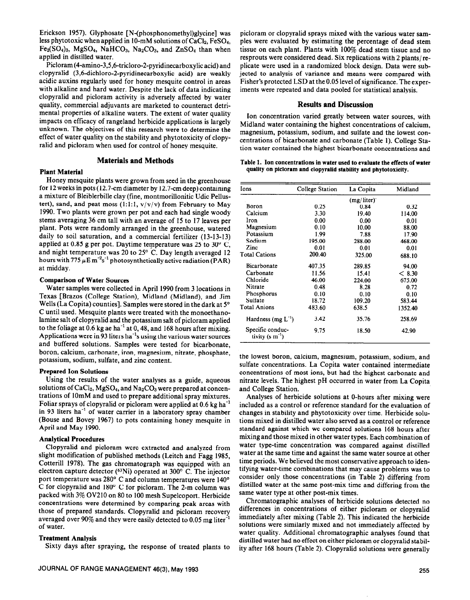Erickson 1957). Glyphosate [N-(phosphonomethyl)glycine] was less phytotoxic when applied in IO-mM solutions of CaClz, FeS04,  $Fe<sub>2</sub>(SO<sub>4</sub>)<sub>3</sub>$ , MgSO<sub>4</sub>, NaHCO<sub>3</sub>, Na<sub>2</sub>CO<sub>3</sub>, and ZnSO<sub>4</sub> than when applied in distilled water.

Picloram (4-amino-3,5,6-tricloro-2-pyridinecarboxylic acid) and clopyralid (3,6dichloro-2-pyridinecarhoxylic acid) are weakly acidic auxins regularly used for honey mesquite control in areas with alkaline and hard water. Despite the lack of data indicating clopyralid and picloram activity is adversely affected by water quality, commercial adjuvants are marketed to counteract detrimental properties of alkaline waters. The extent of water quality impacts on efficacy of rangeland herbicide applications is largely unknown. The objectives of this research were to determine the effect of water quality on the stability and phytotoxicity of clopyralid and picloram when used for control of honey mesquite.

# **Materials and Methods**

#### Plant Material

Honey mesquite plants were grown from seed in the greenhouse for 12 weeks in pots (12.7-cm diameter by 12.7-cm deep) containing a mixture of Bleiblerbille clay (fine, montmorillonitic Udic Pellustert), sand, and peat moss  $(1:1:1, v/v/v)$  from February to May 1990. Two plants were grown per pot and each had single woody stems averaging 36 cm tall with an average of 15 to 17 leaves per plant. Pots were randomly arranged in the greenhouse, watered daily to soil saturation, and a commercial fertilizer (13-13-13) applied at 0.85 g per pot. Daytime temperature was 25 to 30 $^{\circ}$  C, and night temperature was 20 to  $25^{\circ}$  C. Day length averaged 12 hours with  $775 \mu E m^{-2} s^{-1}$  photosynthetically active radiation (PAR) at midday.

## Comparison of Water Sources

Water samples were collected in April 1990 from 3 locations in Texas [Brazos (College Station), Midland (Midland), and Jim Wells (La Copita) counties]. Samples were stored in the dark at 5° C until used. Mesquite plants were treated with the monoethanolamine salt of clopyralid and the potassium salt of picloram applied to the foliage at  $0.6$  kg ae ha<sup>-1</sup> at  $0,48$ , and 168 hours after mixing. Applications were in 93 liters ha<sup>-1</sup>s using the various water sources and buffered solutions. Samples were tested for bicarbonate, boron, calcium, carbonate, iron, magnesium, nitrate, phosphate, potassium, sodium, sulfate, and zinc content.

## Prepared Ion Solutions

Using the results of the water analyses as a guide, aqueous solutions of  $CaCl<sub>2</sub>$ , MgSO<sub>4</sub>, and Na<sub>2</sub>CO<sub>3</sub> were prepared at concentrations of 1OmM and used to prepare additional spray mixtures. Foliar sprays of clopyralid or picloram were applied at 0.6 kg ha<sup>-1</sup> in 93 liters ha<sup>-1</sup> of water carrier in a laboratory spray chamber (Bouse and Bovey 1967) to pots containing honey mesquite in April and May 1990.

## Analytical Procedures

Clopyralid and picloram were extracted and analyzed from slight modification of published methods (Leitch and Fagg 1985, Cotterill 1978). The gas chromatograph was equipped with an electron capture detector (63Ni) operated at 300" C. The injector port temperature was 280" C and column temperatures were 140' C for clopyralid and 180' C for picloram. The 2-m column was packed with 3% OV210 on 80 to 100 mesh Supelcoport. Herbicide concentrations were determined by comparing peak areas with those of prepared standards. Clopyralid and picloram recovery averaged over 90% and they were easily detected to 0.05 mg liter-' of water.

#### **Treatment Analysis**

Sixty days after spraying, the response of treated plants to

picloram or clopyralid sprays mixed with the various water samples were evaluated by estimating the percentage of dead stem tissue on each plant. Plants with 100% dead stem tissue and no resprouts were considered dead. Six replications with 2 plants/replicate were used in a randomized block design. Data were subjected to analysis of variance and means were compared with Fisher's protected LSD at the 0.05 level of significance. The experiments were repeated and data pooled for statistical analysis.

## **Results and Discussion**

Ion concentration varied greatly between water sources, with Midland water containing the highest concentrations of calcium, magnesium, potassium, sodium, and sulfate and the lowest concentrations of bicarbonate and carbonate (Table 1). College Station water contained the highest bicarbonate concentrations and

#### Table 1. Ion concentrations **in water used to evaluate the effects of water quality on picloram and clopyralid stability and phytotoxicity.**

| Ions                                    | College Station | La Copita  | Midland |  |  |  |
|-----------------------------------------|-----------------|------------|---------|--|--|--|
|                                         |                 | (mg/liter) |         |  |  |  |
| Boron                                   | 0.25            | 0.84       | 0.32    |  |  |  |
| Calcium                                 | 3.30            | 19.40      | 114.00  |  |  |  |
| Iron                                    | 0.00            | 0.00       | 0.01    |  |  |  |
| Magnesium                               | 0.10            | 10.00      | 88.00   |  |  |  |
| Potassium                               | 1.99            | 7.88       | 17.90   |  |  |  |
| Sodium                                  | 195.00          | 288.00     | 468.00  |  |  |  |
| Zinc                                    | 0.01            | 0.01       | 0.01    |  |  |  |
| <b>Total Cations</b>                    | 200.40          | 325.00     | 688.10  |  |  |  |
| Bicarbonate                             | 407.35          | 289.85     | 94.00   |  |  |  |
| Carbonate                               | 11.56           | 15.41      | < 8.30  |  |  |  |
| Chloride                                | 46.00           | 224.00     | 675.00  |  |  |  |
| Nitrate                                 | 0.48            | 8.28       | 0.72    |  |  |  |
| Phosphorus                              | 0.10            | 0.10       | 0.10    |  |  |  |
| Sulfate                                 | 18.72           | 109.20     | 583.44  |  |  |  |
| <b>Total Anions</b>                     | 483.60          | 638.5      | 1352.40 |  |  |  |
| Hardness (mg $L^{-1}$ )                 | 3.42            | 35.76      | 258.69  |  |  |  |
| Specific conduc-<br>tivity $(s m^{-1})$ | 9.75            | 18.50      | 42.90   |  |  |  |
|                                         |                 |            |         |  |  |  |

the lowest boron, calcium, magnesium, potassium, sodium, and sulfate concentrations. La Copita water contained intermediate concentrations of most ions, but had the highest carbonate and nitrate levels. The highest pH occurred in water from La Copita and College Station.

Analyses of herbicide solutions at O-hours after mixing were included as a control or reference standard for the evaluation of changes in stability and phytotoxicity over time. Herbicide solutions mixed in distilled water also served as a control or reference standard against which we compared solutions 168 hours after mixing and those mixed in other water types. Each combination of water type-time concentration was compared against distilled water at the same time and against the same water source at other time periods. We believed the most conservative approach to identifying water-time combinations that may cause problems was to consider only those concentrations (in Table 2) differing from distilled water at the same post-mix time and differing from the same water type at other post-mix times.

Chromatographic analyses of herbicide solutions detected no differences in concentrations of either picloram or clopyralid immediately after mixing (Table 2). This indicated the herbicide solutions were similarly mixed and not immediately affected by water quality. Additional chromatographic analyses found that distilled water had no effect on either picloram or clopyralid stability after 168 hours (Table 2). Clopyralid solutions were generally